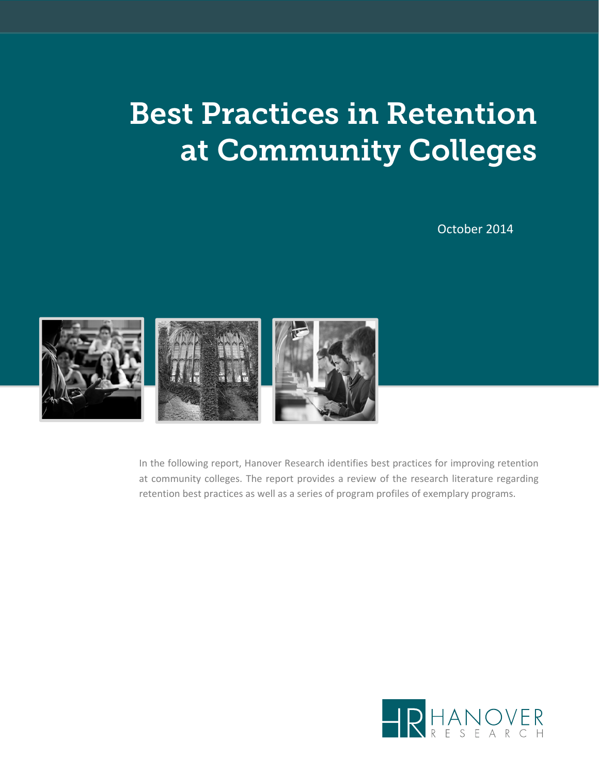# Best Practices in Retention at Community Colleges

October 2014



In the following report, Hanover Research identifies best practices for improving retention at community colleges. The report provides a review of the research literature regarding retention best practices as well as a series of program profiles of exemplary programs.

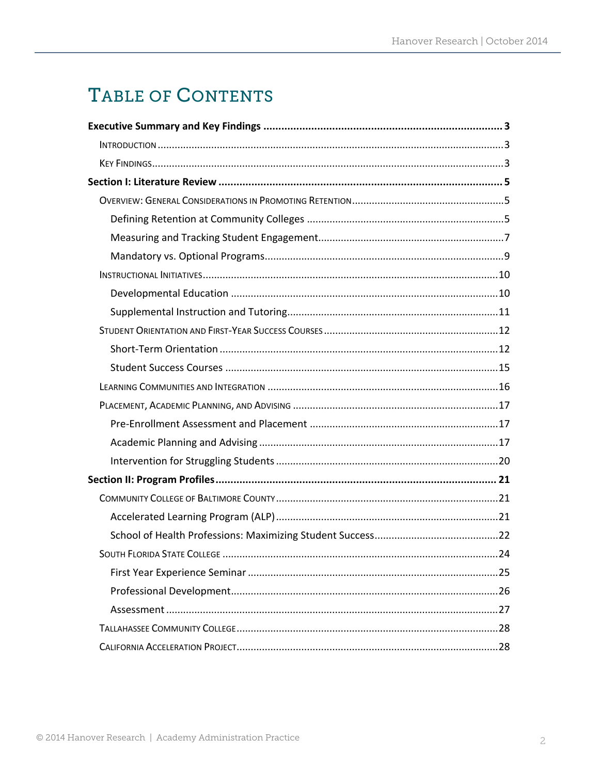# TABLE OF CONTENTS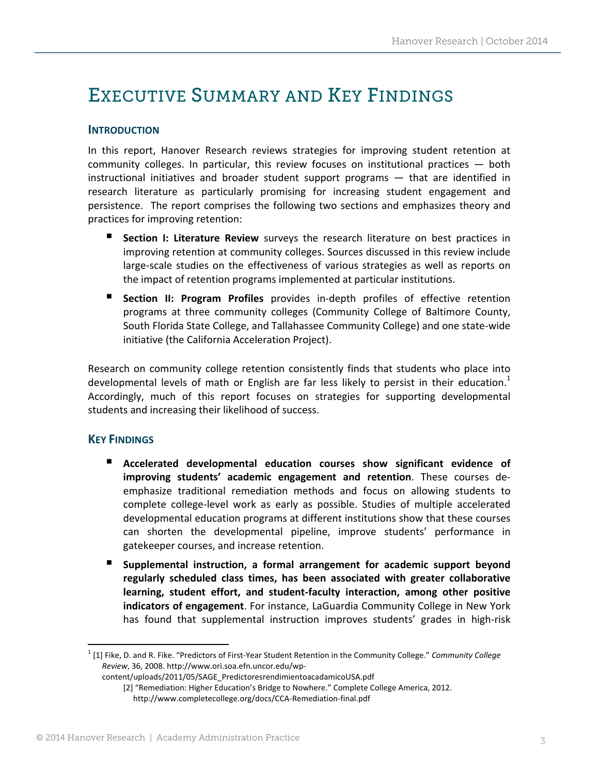# EXECUTIVE SUMMARY AND KEY FINDINGS

## **INTRODUCTION**

In this report, Hanover Research reviews strategies for improving student retention at community colleges. In particular, this review focuses on institutional practices — both instructional initiatives and broader student support programs — that are identified in research literature as particularly promising for increasing student engagement and persistence. The report comprises the following two sections and emphasizes theory and practices for improving retention:

- **Section I: Literature Review** surveys the research literature on best practices in improving retention at community colleges. Sources discussed in this review include large‐scale studies on the effectiveness of various strategies as well as reports on the impact of retention programs implemented at particular institutions.
- **Section II: Program Profiles** provides in-depth profiles of effective retention programs at three community colleges (Community College of Baltimore County, South Florida State College, and Tallahassee Community College) and one state‐wide initiative (the California Acceleration Project).

Research on community college retention consistently finds that students who place into developmental levels of math or English are far less likely to persist in their education.<sup>1</sup> Accordingly, much of this report focuses on strategies for supporting developmental students and increasing their likelihood of success.

#### **KEY FINDINGS**

- **Accelerated developmental education courses show significant evidence of improving students' academic engagement and retention**. These courses de‐ emphasize traditional remediation methods and focus on allowing students to complete college‐level work as early as possible. Studies of multiple accelerated developmental education programs at different institutions show that these courses can shorten the developmental pipeline, improve students' performance in gatekeeper courses, and increase retention.
- **Supplemental instruction, a formal arrangement for academic support beyond regularly scheduled class times, has been associated with greater collaborative learning, student effort, and student‐faculty interaction, among other positive indicators of engagement**. For instance, LaGuardia Community College in New York has found that supplemental instruction improves students' grades in high‐risk

<sup>1</sup> [1] Fike, D. and R. Fike. "Predictors of First‐Year Student Retention in the Community College." *Community College Review*, 36, 2008. http://www.ori.soa.efn.uncor.edu/wp‐

content/uploads/2011/05/SAGE\_PredictoresrendimientoacadamicoUSA.pdf [2] "Remediation: Higher Education's Bridge to Nowhere." Complete College America, 2012. http://www.completecollege.org/docs/CCA‐Remediation‐final.pdf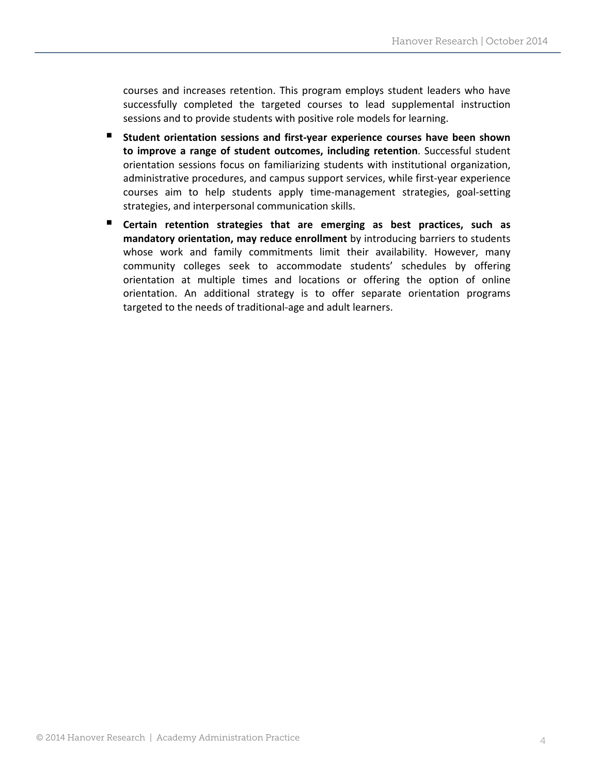courses and increases retention. This program employs student leaders who have successfully completed the targeted courses to lead supplemental instruction sessions and to provide students with positive role models for learning.

- **Student orientation sessions and first‐year experience courses have been shown to improve a range of student outcomes, including retention**. Successful student orientation sessions focus on familiarizing students with institutional organization, administrative procedures, and campus support services, while first-year experience courses aim to help students apply time‐management strategies, goal‐setting strategies, and interpersonal communication skills.
- **Certain retention strategies that are emerging as best practices, such as mandatory orientation, may reduce enrollment** by introducing barriers to students whose work and family commitments limit their availability. However, many community colleges seek to accommodate students' schedules by offering orientation at multiple times and locations or offering the option of online orientation. An additional strategy is to offer separate orientation programs targeted to the needs of traditional‐age and adult learners.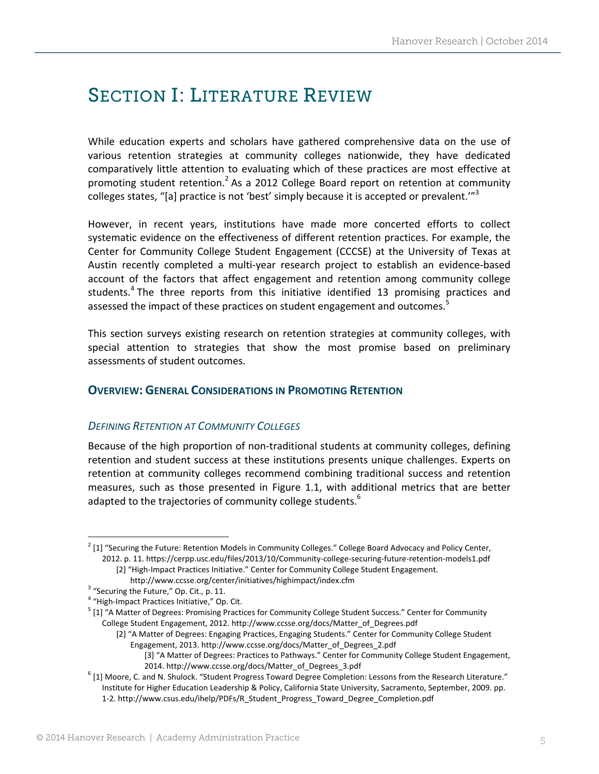# SECTION I: LITERATURE REVIEW

While education experts and scholars have gathered comprehensive data on the use of various retention strategies at community colleges nationwide, they have dedicated comparatively little attention to evaluating which of these practices are most effective at promoting student retention.<sup>2</sup> As a 2012 College Board report on retention at community colleges states, "[a] practice is not 'best' simply because it is accepted or prevalent.'"<sup>3</sup>

However, in recent years, institutions have made more concerted efforts to collect systematic evidence on the effectiveness of different retention practices. For example, the Center for Community College Student Engagement (CCCSE) at the University of Texas at Austin recently completed a multi‐year research project to establish an evidence‐based account of the factors that affect engagement and retention among community college students.<sup>4</sup> The three reports from this initiative identified 13 promising practices and assessed the impact of these practices on student engagement and outcomes.<sup>5</sup>

This section surveys existing research on retention strategies at community colleges, with special attention to strategies that show the most promise based on preliminary assessments of student outcomes.

## **OVERVIEW: GENERAL CONSIDERATIONS IN PROMOTING RETENTION**

#### *DEFINING RETENTION AT COMMUNITY COLLEGES*

Because of the high proportion of non-traditional students at community colleges, defining retention and student success at these institutions presents unique challenges. Experts on retention at community colleges recommend combining traditional success and retention measures, such as those presented in Figure 1.1, with additional metrics that are better adapted to the trajectories of community college students.<sup>6</sup>

  $2$  [1] "Securing the Future: Retention Models in Community Colleges." College Board Advocacy and Policy Center, 2012. p. 11. https://cerpp.usc.edu/files/2013/10/Community-college-securing-future-retention-models1.pdf

<sup>[2] &</sup>quot;High-Impact Practices Initiative." Center for Community College Student Engagement.

http://www.ccsse.org/center/initiatives/highimpact/index.cfm<br>
<sup>3</sup> "Securing the Future," Op. Cit., p. 11.<br>
<sup>4</sup> "High-Impact Practices Initiative," Op. Cit.<br>
<sup>5</sup> [1] "A Matter of Degrees: Promising Practices for Community C College Student Engagement, 2012. http://www.ccsse.org/docs/Matter\_of\_Degrees.pdf

<sup>[2]</sup> "A Matter of Degrees: Engaging Practices, Engaging Students." Center for Community College Student Engagement, 2013. http://www.ccsse.org/docs/Matter\_of\_Degrees\_2.pdf

<sup>[3]</sup> "A Matter of Degrees: Practices to Pathways." Center for Community College Student Engagement,

<sup>2014.</sup> http://www.ccsse.org/docs/Matter\_of\_Degrees\_3.pdf<br>6 [1] Moore, C. and N. Shulock. "Student Progress Toward Degree Completion: Lessons from the Research Literature." Institute for Higher Education Leadership & Policy, California State University, Sacramento, September, 2009. pp. 1‐2. http://www.csus.edu/ihelp/PDFs/R\_Student\_Progress\_Toward\_Degree\_Completion.pdf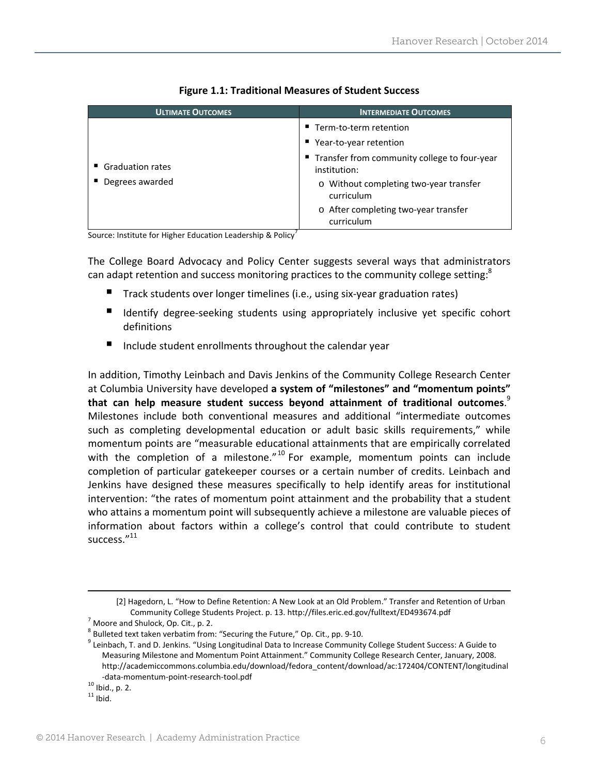| <b>ULTIMATE OUTCOMES</b>              | <b>INTERMEDIATE OUTCOMES</b>                                                                                                                                                                                                     |
|---------------------------------------|----------------------------------------------------------------------------------------------------------------------------------------------------------------------------------------------------------------------------------|
| ■ Graduation rates<br>Degrees awarded | Term-to-term retention<br>Year-to-year retention<br>■ Transfer from community college to four-year<br>institution:<br>o Without completing two-year transfer<br>curriculum<br>o After completing two-year transfer<br>curriculum |

#### **Figure 1.1: Traditional Measures of Student Success**

Source: Institute for Higher Education Leadership & Policy<sup>7</sup>

The College Board Advocacy and Policy Center suggests several ways that administrators can adapt retention and success monitoring practices to the community college setting:<sup>8</sup>

- Track students over longer timelines (i.e., using six-year graduation rates)
- Identify degree-seeking students using appropriately inclusive yet specific cohort definitions
- Include student enrollments throughout the calendar year

In addition, Timothy Leinbach and Davis Jenkins of the Community College Research Center at Columbia University have developed **a system of "milestones" and "momentum points" that can help measure student success beyond attainment of traditional outcomes**. 9 Milestones include both conventional measures and additional "intermediate outcomes such as completing developmental education or adult basic skills requirements," while momentum points are "measurable educational attainments that are empirically correlated with the completion of a milestone." $10^{\circ}$  For example, momentum points can include completion of particular gatekeeper courses or a certain number of credits. Leinbach and Jenkins have designed these measures specifically to help identify areas for institutional intervention: "the rates of momentum point attainment and the probability that a student who attains a momentum point will subsequently achieve a milestone are valuable pieces of information about factors within a college's control that could contribute to student success."<sup>11</sup>

<u> 1989 - Andrea Santa Andrea Santa Andrea Santa Andrea Santa Andrea Santa Andrea Santa Andrea Santa Andrea San</u>

<sup>[2]</sup> Hagedorn, L. "How to Define Retention: A New Look at an Old Problem." Transfer and Retention of Urban

Community College Students Project. p. 13. http://files.eric.ed.gov/fulltext/ED493674.pdf<br>
<sup>7</sup> Moore and Shulock, Op. Cit., p. 2.<br>
<sup>8</sup> Bulleted text taken verbatim from: "Securing the Future," Op. Cit., pp. 9-10.<br>
<sup>9</sup> Lein Measuring Milestone and Momentum Point Attainment." Community College Research Center, January, 2008. http://academiccommons.columbia.edu/download/fedora\_content/download/ac:172404/CONTENT/longitudinal -data-momentum-point-research-tool.pdf  $^{10}$  Ibid., p. 2.<br> $^{11}$  Ibid.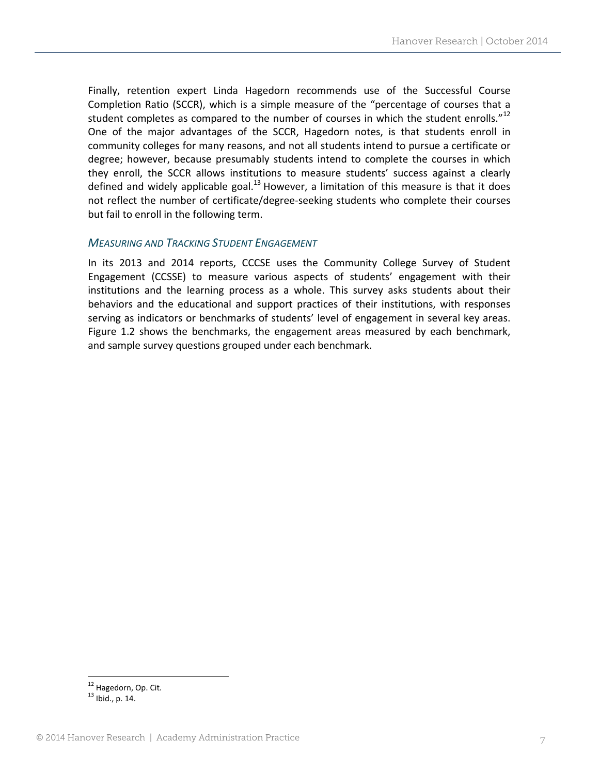Finally, retention expert Linda Hagedorn recommends use of the Successful Course Completion Ratio (SCCR), which is a simple measure of the "percentage of courses that a student completes as compared to the number of courses in which the student enrolls." $^{12}$ One of the major advantages of the SCCR, Hagedorn notes, is that students enroll in community colleges for many reasons, and not all students intend to pursue a certificate or degree; however, because presumably students intend to complete the courses in which they enroll, the SCCR allows institutions to measure students' success against a clearly defined and widely applicable goal. $^{13}$  However, a limitation of this measure is that it does not reflect the number of certificate/degree‐seeking students who complete their courses but fail to enroll in the following term.

#### *MEASURING AND TRACKING STUDENT ENGAGEMENT*

In its 2013 and 2014 reports, CCCSE uses the Community College Survey of Student Engagement (CCSSE) to measure various aspects of students' engagement with their institutions and the learning process as a whole. This survey asks students about their behaviors and the educational and support practices of their institutions, with responses serving as indicators or benchmarks of students' level of engagement in several key areas. Figure 1.2 shows the benchmarks, the engagement areas measured by each benchmark, and sample survey questions grouped under each benchmark.

  $12$  Hagedorn, Op. Cit.<br> $13$  Ibid., p. 14.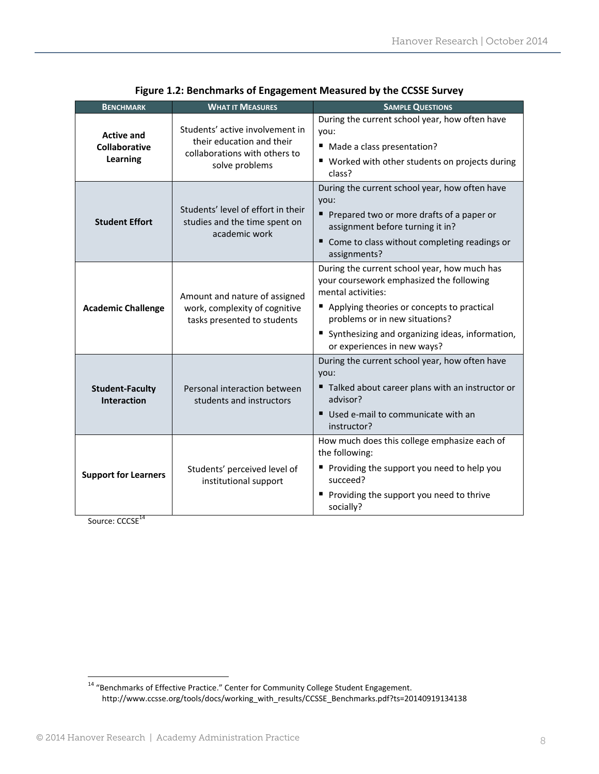| <b>BENCHMARK</b>                               | <b>WHAT IT MEASURES</b>                                                                                         | <b>SAMPLE QUESTIONS</b>                                                                                                                                                                                                                                                            |  |  |  |  |  |  |  |
|------------------------------------------------|-----------------------------------------------------------------------------------------------------------------|------------------------------------------------------------------------------------------------------------------------------------------------------------------------------------------------------------------------------------------------------------------------------------|--|--|--|--|--|--|--|
| <b>Active and</b><br>Collaborative<br>Learning | Students' active involvement in<br>their education and their<br>collaborations with others to<br>solve problems | During the current school year, how often have<br>you:<br>■ Made a class presentation?<br>■ Worked with other students on projects during<br>class?                                                                                                                                |  |  |  |  |  |  |  |
| <b>Student Effort</b>                          | Students' level of effort in their<br>studies and the time spent on<br>academic work                            | During the current school year, how often have<br>you:<br>Prepared two or more drafts of a paper or<br>assignment before turning it in?<br>Come to class without completing readings or<br>assignments?                                                                            |  |  |  |  |  |  |  |
| <b>Academic Challenge</b>                      | Amount and nature of assigned<br>work, complexity of cognitive<br>tasks presented to students                   | During the current school year, how much has<br>your coursework emphasized the following<br>mental activities:<br>Applying theories or concepts to practical<br>problems or in new situations?<br>" Synthesizing and organizing ideas, information,<br>or experiences in new ways? |  |  |  |  |  |  |  |
| <b>Student-Faculty</b><br>Interaction          | Personal interaction between<br>students and instructors                                                        | During the current school year, how often have<br>you:<br>" Talked about career plans with an instructor or<br>advisor?<br>Used e-mail to communicate with an<br>instructor?                                                                                                       |  |  |  |  |  |  |  |
| <b>Support for Learners</b>                    | Students' perceived level of<br>institutional support                                                           | How much does this college emphasize each of<br>the following:<br>Providing the support you need to help you<br>succeed?<br>Providing the support you need to thrive<br>socially?                                                                                                  |  |  |  |  |  |  |  |

**Figure 1.2: Benchmarks of Engagement Measured by the CCSSE Survey**

Source: CCCSE<sup>14</sup>

 <sup>14</sup> "Benchmarks of Effective Practice." Center for Community College Student Engagement. http://www.ccsse.org/tools/docs/working\_with\_results/CCSSE\_Benchmarks.pdf?ts=20140919134138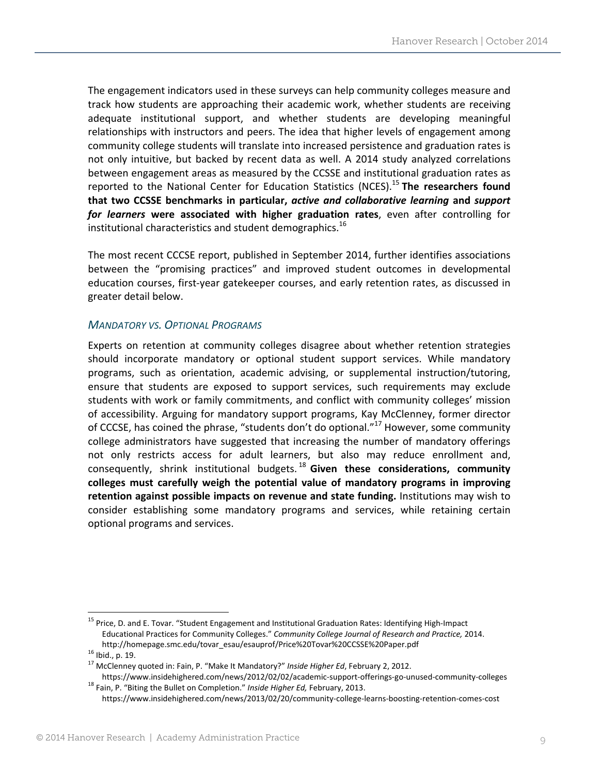The engagement indicators used in these surveys can help community colleges measure and track how students are approaching their academic work, whether students are receiving adequate institutional support, and whether students are developing meaningful relationships with instructors and peers. The idea that higher levels of engagement among community college students will translate into increased persistence and graduation rates is not only intuitive, but backed by recent data as well. A 2014 study analyzed correlations between engagement areas as measured by the CCSSE and institutional graduation rates as reported to the National Center for Education Statistics (NCES).<sup>15</sup> **The researchers found that two CCSSE benchmarks in particular,** *active and collaborative learning* **and** *support for learners* **were associated with higher graduation rates**, even after controlling for institutional characteristics and student demographics.<sup>16</sup>

The most recent CCCSE report, published in September 2014, further identifies associations between the "promising practices" and improved student outcomes in developmental education courses, first‐year gatekeeper courses, and early retention rates, as discussed in greater detail below.

### *MANDATORY VS. OPTIONAL PROGRAMS*

Experts on retention at community colleges disagree about whether retention strategies should incorporate mandatory or optional student support services. While mandatory programs, such as orientation, academic advising, or supplemental instruction/tutoring, ensure that students are exposed to support services, such requirements may exclude students with work or family commitments, and conflict with community colleges' mission of accessibility. Arguing for mandatory support programs, Kay McClenney, former director of CCCSE, has coined the phrase, "students don't do optional."<sup>17</sup> However, some community college administrators have suggested that increasing the number of mandatory offerings not only restricts access for adult learners, but also may reduce enrollment and, consequently, shrink institutional budgets. <sup>18</sup> **Given these considerations, community colleges must carefully weigh the potential value of mandatory programs in improving retention against possible impacts on revenue and state funding.** Institutions may wish to consider establishing some mandatory programs and services, while retaining certain optional programs and services.

<sup>&</sup>lt;sup>15</sup> Price, D. and E. Tovar. "Student Engagement and Institutional Graduation Rates: Identifying High-Impact Educational Practices for Community Colleges." *Community College Journal of Research and Practice,* 2014. http://homepage.smc.edu/tovar\_esau/esauprof/Price%20Tovar%20CCSSE%20Paper.pdf <sup>16</sup> Ibid., p. 19. <sup>17</sup> McClenney quoted in: Fain, P. "Make It Mandatory?" *Inside Higher Ed*, February 2, 2012.

https://www.insidehighered.com/news/2012/02/02/academic‐support‐offerings‐go‐unused‐community‐colleges <sup>18</sup> Fain, P. "Biting the Bullet on Completion." *Inside Higher Ed,* February, 2013.

https://www.insidehighered.com/news/2013/02/20/community‐college‐learns‐boosting‐retention‐comes‐cost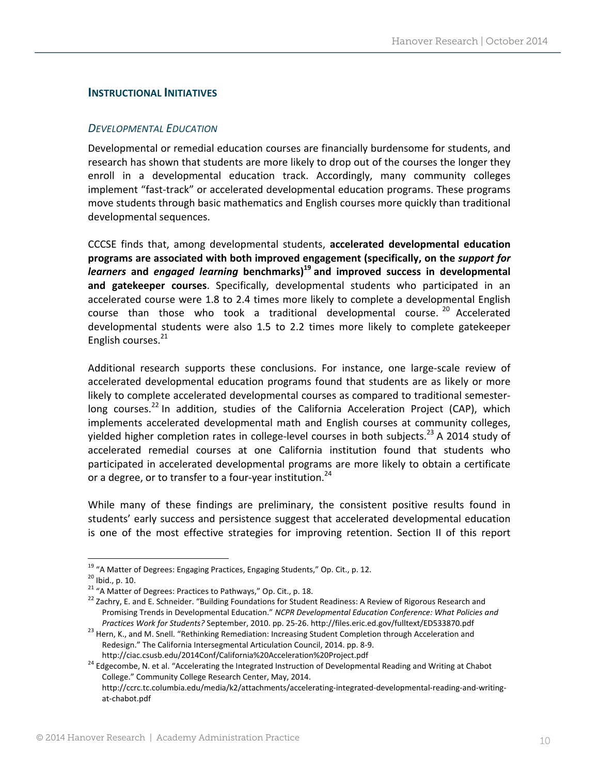## **INSTRUCTIONAL INITIATIVES**

#### *DEVELOPMENTAL EDUCATION*

Developmental or remedial education courses are financially burdensome for students, and research has shown that students are more likely to drop out of the courses the longer they enroll in a developmental education track. Accordingly, many community colleges implement "fast‐track" or accelerated developmental education programs. These programs move students through basic mathematics and English courses more quickly than traditional developmental sequences.

CCCSE finds that, among developmental students, **accelerated developmental education programs are associated with both improved engagement (specifically, on the** *support for learners* **and** *engaged learning* **benchmarks)19 and improved success in developmental and gatekeeper courses**. Specifically, developmental students who participated in an accelerated course were 1.8 to 2.4 times more likely to complete a developmental English course than those who took a traditional developmental course.<sup>20</sup> Accelerated developmental students were also 1.5 to 2.2 times more likely to complete gatekeeper English courses.<sup>21</sup>

Additional research supports these conclusions. For instance, one large-scale review of accelerated developmental education programs found that students are as likely or more likely to complete accelerated developmental courses as compared to traditional semester‐ long courses.<sup>22</sup> In addition, studies of the California Acceleration Project (CAP), which implements accelerated developmental math and English courses at community colleges, yielded higher completion rates in college-level courses in both subjects.<sup>23</sup> A 2014 study of accelerated remedial courses at one California institution found that students who participated in accelerated developmental programs are more likely to obtain a certificate or a degree, or to transfer to a four-year institution.<sup>24</sup>

While many of these findings are preliminary, the consistent positive results found in students' early success and persistence suggest that accelerated developmental education is one of the most effective strategies for improving retention. Section II of this report

<sup>&</sup>lt;sup>19</sup> "A Matter of Degrees: Engaging Practices, Engaging Students," Op. Cit., p. 12.<br><sup>20</sup> Ibid., p. 10.<br><sup>21</sup> "A Matter of Degrees: Practices to Pathways," Op. Cit., p. 18.<br><sup>22</sup> Zachry, E. and E. Schneider. "Building Founda Promising Trends in Developmental Education." *NCPR Developmental Education Conference: What Policies and* Practices Work for Students? September, 2010. pp. 25-26. http://files.eric.ed.gov/fulltext/ED533870.pdf<br><sup>23</sup> Hern, K., and M. Snell. "Rethinking Remediation: Increasing Student Completion through Acceleration and

Redesign." The California Intersegmental Articulation Council, 2014. pp. 8‐9.

http://ciac.csusb.edu/2014Conf/California%20Acceleration%20Project.pdf<br><sup>24</sup> Edgecombe, N. et al. "Accelerating the Integrated Instruction of Developmental Reading and Writing at Chabot College." Community College Research Center, May, 2014. http://ccrc.tc.columbia.edu/media/k2/attachments/accelerating‐integrated‐developmental‐reading‐and‐writing‐ at‐chabot.pdf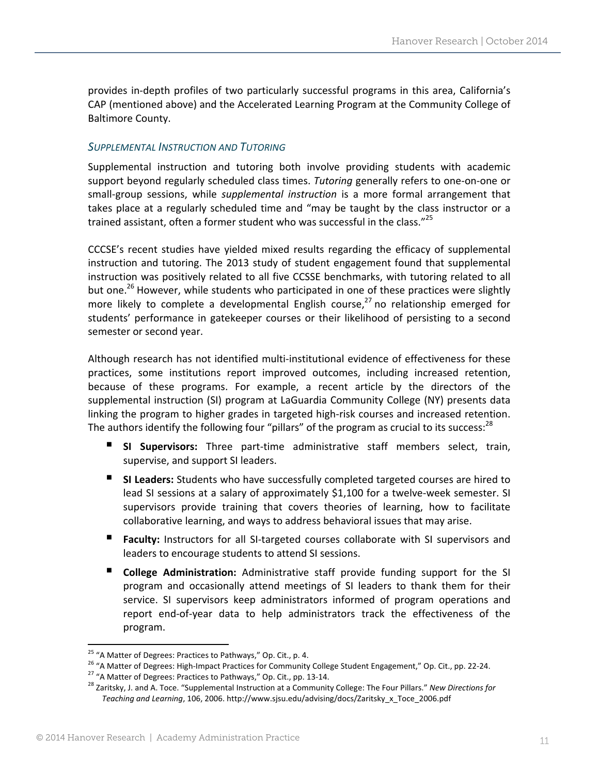provides in-depth profiles of two particularly successful programs in this area, California's CAP (mentioned above) and the Accelerated Learning Program at the Community College of Baltimore County.

### *SUPPLEMENTAL INSTRUCTION AND TUTORING*

Supplemental instruction and tutoring both involve providing students with academic support beyond regularly scheduled class times. *Tutoring* generally refers to one‐on‐one or small‐group sessions, while *supplemental instruction* is a more formal arrangement that takes place at a regularly scheduled time and "may be taught by the class instructor or a trained assistant, often a former student who was successful in the class."<sup>25</sup>

CCCSE's recent studies have yielded mixed results regarding the efficacy of supplemental instruction and tutoring. The 2013 study of student engagement found that supplemental instruction was positively related to all five CCSSE benchmarks, with tutoring related to all but one.<sup>26</sup> However, while students who participated in one of these practices were slightly more likely to complete a developmental English course,<sup>27</sup> no relationship emerged for students' performance in gatekeeper courses or their likelihood of persisting to a second semester or second year.

Although research has not identified multi‐institutional evidence of effectiveness for these practices, some institutions report improved outcomes, including increased retention, because of these programs. For example, a recent article by the directors of the supplemental instruction (SI) program at LaGuardia Community College (NY) presents data linking the program to higher grades in targeted high‐risk courses and increased retention. The authors identify the following four "pillars" of the program as crucial to its success:<sup>28</sup>

- **SI Supervisors:** Three part‐time administrative staff members select, train, supervise, and support SI leaders.
- **SI Leaders:** Students who have successfully completed targeted courses are hired to lead SI sessions at a salary of approximately \$1,100 for a twelve-week semester. SI supervisors provide training that covers theories of learning, how to facilitate collaborative learning, and ways to address behavioral issues that may arise.
- **Faculty:** Instructors for all SI-targeted courses collaborate with SI supervisors and leaders to encourage students to attend SI sessions.
- **College Administration:** Administrative staff provide funding support for the SI program and occasionally attend meetings of SI leaders to thank them for their service. SI supervisors keep administrators informed of program operations and report end‐of‐year data to help administrators track the effectiveness of the program.

<sup>&</sup>lt;sup>25</sup> "A Matter of Degrees: Practices to Pathways," Op. Cit., p. 4.

<sup>&</sup>lt;sup>26</sup> "A Matter of Degrees: High-Impact Practices for Community College Student Engagement," Op. Cit., pp. 22-24.<br><sup>27</sup> "A Matter of Degrees: Practices to Pathways," Op. Cit., pp. 13-14.<br><sup>28</sup> Zaritsky, J. and A. Toce. "Supp

*Teaching and Learning*, 106, 2006. http://www.sjsu.edu/advising/docs/Zaritsky\_x\_Toce\_2006.pdf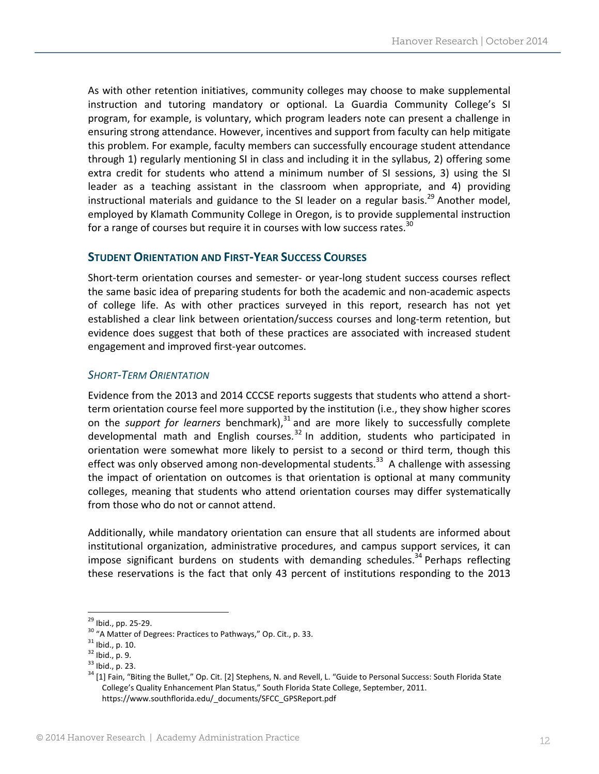As with other retention initiatives, community colleges may choose to make supplemental instruction and tutoring mandatory or optional. La Guardia Community College's SI program, for example, is voluntary, which program leaders note can present a challenge in ensuring strong attendance. However, incentives and support from faculty can help mitigate this problem. For example, faculty members can successfully encourage student attendance through 1) regularly mentioning SI in class and including it in the syllabus, 2) offering some extra credit for students who attend a minimum number of SI sessions, 3) using the SI leader as a teaching assistant in the classroom when appropriate, and 4) providing instructional materials and guidance to the SI leader on a regular basis.<sup>29</sup> Another model, employed by Klamath Community College in Oregon, is to provide supplemental instruction for a range of courses but require it in courses with low success rates.<sup>30</sup>

# **STUDENT ORIENTATION AND FIRST‐YEAR SUCCESS COURSES**

Short‐term orientation courses and semester‐ or year‐long student success courses reflect the same basic idea of preparing students for both the academic and non‐academic aspects of college life. As with other practices surveyed in this report, research has not yet established a clear link between orientation/success courses and long‐term retention, but evidence does suggest that both of these practices are associated with increased student engagement and improved first‐year outcomes.

### *SHORT‐TERM ORIENTATION*

Evidence from the 2013 and 2014 CCCSE reports suggests that students who attend a short‐ term orientation course feel more supported by the institution (i.e., they show higher scores on the *support for learners* benchmark),<sup>31</sup> and are more likely to successfully complete developmental math and English courses.<sup>32</sup> In addition, students who participated in orientation were somewhat more likely to persist to a second or third term, though this effect was only observed among non-developmental students.<sup>33</sup> A challenge with assessing the impact of orientation on outcomes is that orientation is optional at many community colleges, meaning that students who attend orientation courses may differ systematically from those who do not or cannot attend.

Additionally, while mandatory orientation can ensure that all students are informed about institutional organization, administrative procedures, and campus support services, it can impose significant burdens on students with demanding schedules.<sup>34</sup> Perhaps reflecting these reservations is the fact that only 43 percent of institutions responding to the 2013

<sup>&</sup>lt;sup>29</sup> Ibid., pp. 25-29.<br><sup>30</sup> "A Matter of Degrees: Practices to Pathways," Op. Cit., p. 33.<br><sup>31</sup> Ibid., p. 10.<br><sup>33</sup> Ibid., p. 23.<br><sup>34</sup> [1] Fain, "Biting the Bullet," Op. Cit. [2] Stephens, N. and Revell, L. "Guide to Perso College's Quality Enhancement Plan Status," South Florida State College, September, 2011. https://www.southflorida.edu/\_documents/SFCC\_GPSReport.pdf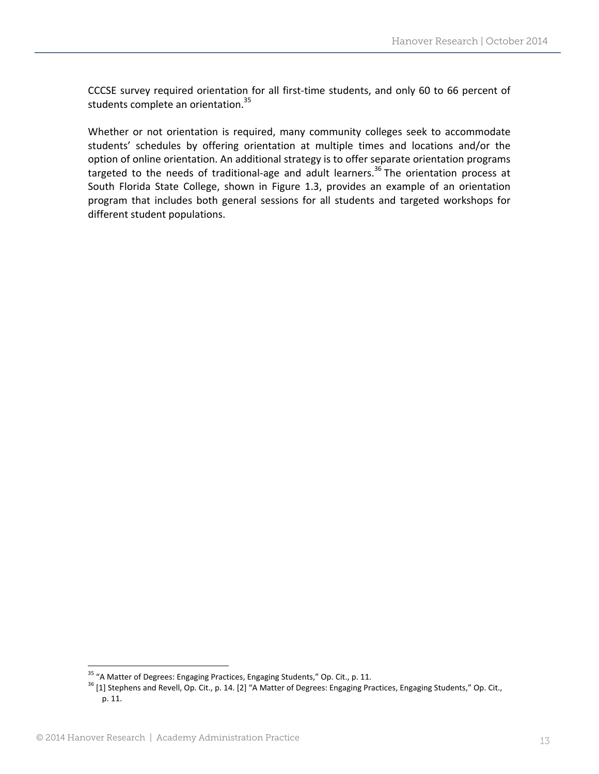CCCSE survey required orientation for all first‐time students, and only 60 to 66 percent of students complete an orientation.<sup>35</sup>

Whether or not orientation is required, many community colleges seek to accommodate students' schedules by offering orientation at multiple times and locations and/or the option of online orientation. An additional strategy is to offer separate orientation programs targeted to the needs of traditional-age and adult learners.<sup>36</sup> The orientation process at South Florida State College, shown in Figure 1.3, provides an example of an orientation program that includes both general sessions for all students and targeted workshops for different student populations.

<sup>&</sup>lt;sup>35</sup> "A Matter of Degrees: Engaging Practices, Engaging Students," Op. Cit., p. 11.

<sup>&</sup>lt;sup>36</sup> [1] Stephens and Revell, Op. Cit., p. 14. [2] "A Matter of Degrees: Engaging Practices, Engaging Students," Op. Cit., p. 11.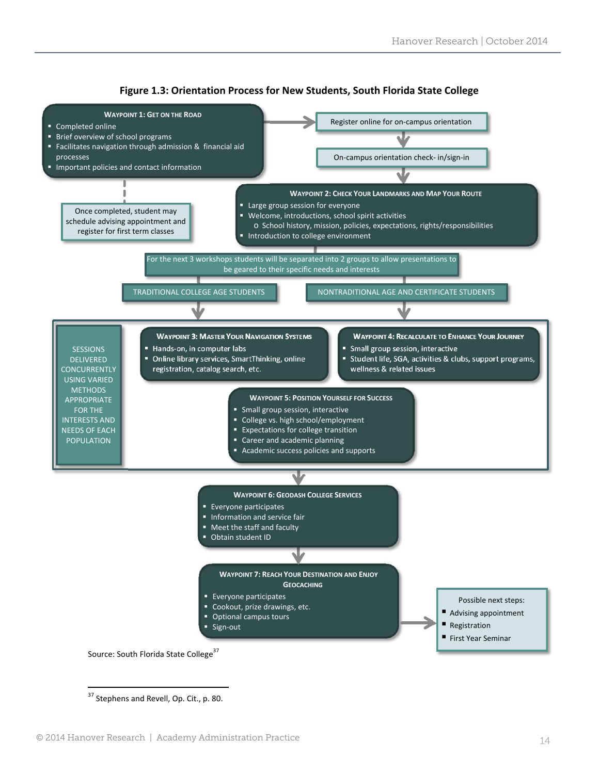



 <sup>37</sup> Stephens and Revell, Op. Cit., p. 80.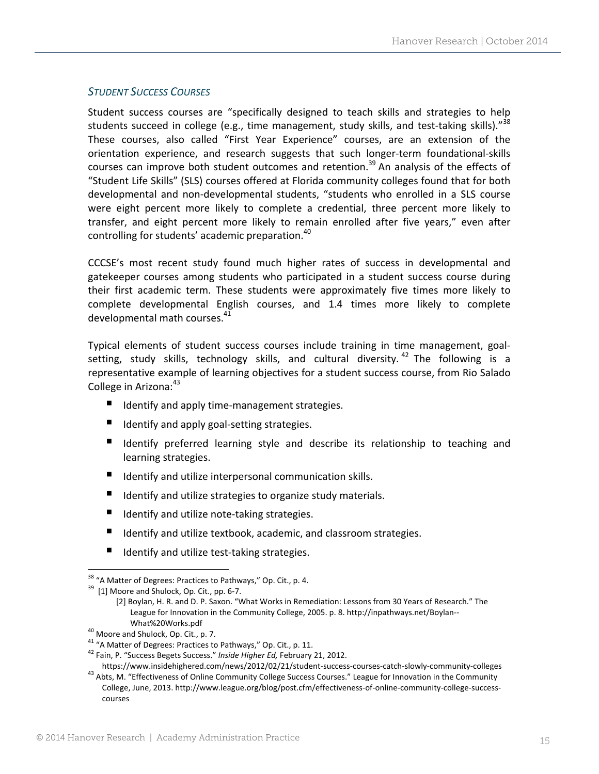# *STUDENT SUCCESS COURSES*

Student success courses are "specifically designed to teach skills and strategies to help students succeed in college (e.g., time management, study skills, and test-taking skills)."<sup>38</sup> These courses, also called "First Year Experience" courses, are an extension of the orientation experience, and research suggests that such longer‐term foundational‐skills courses can improve both student outcomes and retention.<sup>39</sup> An analysis of the effects of "Student Life Skills" (SLS) courses offered at Florida community colleges found that for both developmental and non‐developmental students, "students who enrolled in a SLS course were eight percent more likely to complete a credential, three percent more likely to transfer, and eight percent more likely to remain enrolled after five years," even after controlling for students' academic preparation.<sup>40</sup>

CCCSE's most recent study found much higher rates of success in developmental and gatekeeper courses among students who participated in a student success course during their first academic term. These students were approximately five times more likely to complete developmental English courses, and 1.4 times more likely to complete developmental math courses.<sup>41</sup>

Typical elements of student success courses include training in time management, goal‐ setting, study skills, technology skills, and cultural diversity.<sup>42</sup> The following is a representative example of learning objectives for a student success course, from Rio Salado College in Arizona:<sup>43</sup>

- Identify and apply time-management strategies.
- Identify and apply goal-setting strategies.
- I Identify preferred learning style and describe its relationship to teaching and learning strategies.
- Identify and utilize interpersonal communication skills.
- Identify and utilize strategies to organize study materials.
- Identify and utilize note-taking strategies.
- $\blacksquare$  Identify and utilize textbook, academic, and classroom strategies.
- Identify and utilize test-taking strategies.

<sup>40</sup> Moore and Shulock, Op. Cit., p. 7.<br><sup>41</sup> "A Matter of Degrees: Practices to Pathways," Op. Cit., p. 11.<br><sup>42</sup> Fain, P. "Success Begets Success." *Inside Higher Ed, February 21, 2012.*<br>https://www.insidehighered.com/news

 <sup>38</sup> "A Matter of Degrees: Practices to Pathways," Op. Cit., p. 4.  $39\,$  [1] Moore and Shulock, Op. Cit., pp. 6-7.

<sup>[2]</sup> Boylan, H. R. and D. P. Saxon. "What Works in Remediation: Lessons from 30 Years of Research." The League for Innovation in the Community College, 2005. p. 8. http://inpathways.net/Boylan--What%20Works.pdf

<sup>&</sup>lt;sup>43</sup> Abts, M. "Effectiveness of Online Community College Success Courses." League for Innovation in the Community College, June, 2013. http://www.league.org/blog/post.cfm/effectiveness‐of‐online‐community‐college‐success‐ courses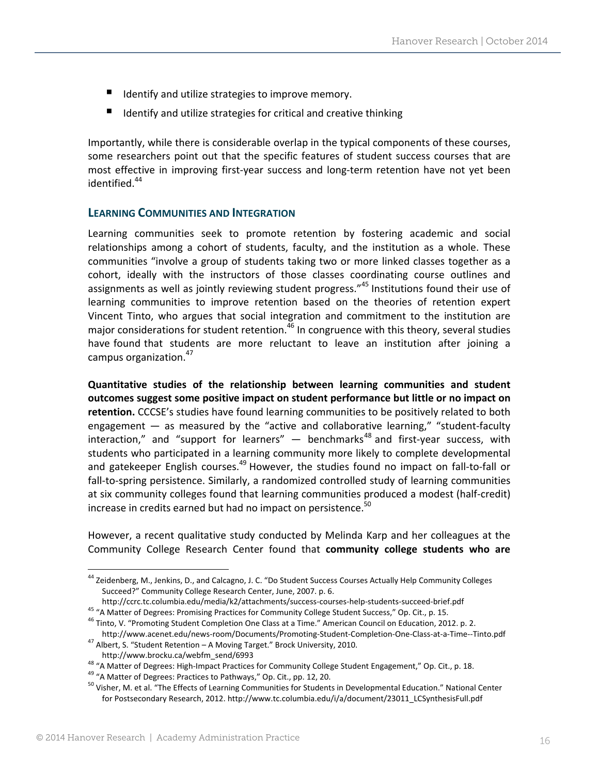- Identify and utilize strategies to improve memory.
- $\blacksquare$  Identify and utilize strategies for critical and creative thinking

Importantly, while there is considerable overlap in the typical components of these courses, some researchers point out that the specific features of student success courses that are most effective in improving first-year success and long-term retention have not yet been identified.<sup>44</sup>

#### **LEARNING COMMUNITIES AND INTEGRATION**

Learning communities seek to promote retention by fostering academic and social relationships among a cohort of students, faculty, and the institution as a whole. These communities "involve a group of students taking two or more linked classes together as a cohort, ideally with the instructors of those classes coordinating course outlines and assignments as well as jointly reviewing student progress."<sup>45</sup> Institutions found their use of learning communities to improve retention based on the theories of retention expert Vincent Tinto, who argues that social integration and commitment to the institution are major considerations for student retention.<sup>46</sup> In congruence with this theory, several studies have found that students are more reluctant to leave an institution after joining a campus organization.<sup>47</sup>

**Quantitative studies of the relationship between learning communities and student outcomes suggest some positive impact on student performance but little or no impact on retention.** CCCSE's studies have found learning communities to be positively related to both engagement — as measured by the "active and collaborative learning," "student‐faculty  $interaction,"$  and "support for learners" — benchmarks<sup>48</sup> and first-year success, with students who participated in a learning community more likely to complete developmental and gatekeeper English courses.<sup>49</sup> However, the studies found no impact on fall-to-fall or fall-to-spring persistence. Similarly, a randomized controlled study of learning communities at six community colleges found that learning communities produced a modest (half‐credit) increase in credits earned but had no impact on persistence.<sup>50</sup>

However, a recent qualitative study conducted by Melinda Karp and her colleagues at the Community College Research Center found that **community college students who are**

<sup>&</sup>lt;sup>44</sup> Zeidenberg, M., Jenkins, D., and Calcagno, J. C. "Do Student Success Courses Actually Help Community Colleges Succeed?" Community College Research Center, June, 2007. p. 6.

http://ccrc.tc.columbia.edu/media/k2/attachments/success-courses-help-students-succeed-brief.pdf<br><sup>45</sup> "A Matter of Degrees: Promising Practices for Community College Student Success," Op. Cit., p. 15.<br><sup>46</sup> Tinto, V. "Promo

http://www.acenet.edu/news-room/Documents/Promoting-Student-Completion-One-Class-at-a-Time--Tinto.pdf 47 Albert, S. "Student Retention – A Moving Target." Brock University, 2010.

http://www.brocku.ca/webfm\_send/6993<br><sup>48</sup> "A Matter of Degrees: High-Impact Practices for Community College Student Engagement," Op. Cit., p. 18.<br><sup>49</sup> "A Matter of Degrees: Practices to Pathways," Op. Cit., pp. 12, 20.<br><sup>50</sup> for Postsecondary Research, 2012. http://www.tc.columbia.edu/i/a/document/23011\_LCSynthesisFull.pdf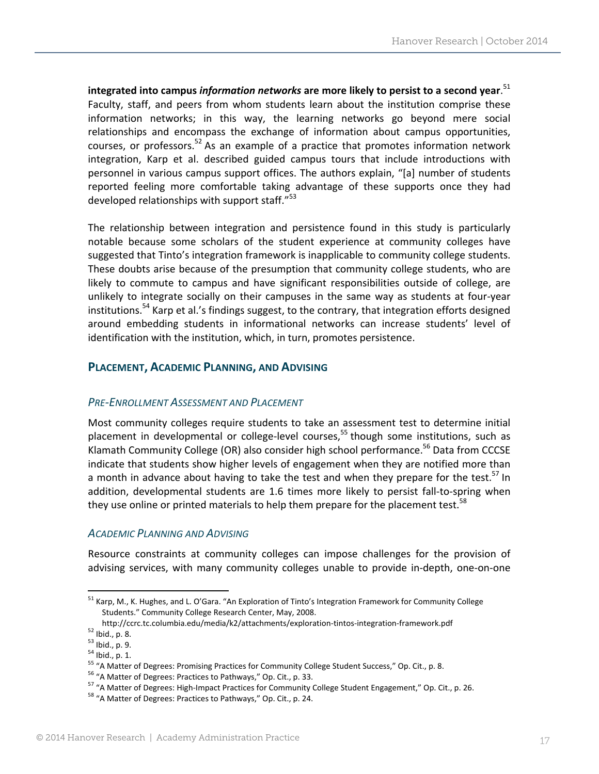**integrated into campus** *information networks* **are more likely to persist to a second year**. 51 Faculty, staff, and peers from whom students learn about the institution comprise these information networks; in this way, the learning networks go beyond mere social relationships and encompass the exchange of information about campus opportunities, courses, or professors.<sup>52</sup> As an example of a practice that promotes information network integration, Karp et al. described guided campus tours that include introductions with personnel in various campus support offices. The authors explain, "[a] number of students reported feeling more comfortable taking advantage of these supports once they had developed relationships with support staff."<sup>53</sup>

The relationship between integration and persistence found in this study is particularly notable because some scholars of the student experience at community colleges have suggested that Tinto's integration framework is inapplicable to community college students. These doubts arise because of the presumption that community college students, who are likely to commute to campus and have significant responsibilities outside of college, are unlikely to integrate socially on their campuses in the same way as students at four‐year institutions.<sup>54</sup> Karp et al.'s findings suggest, to the contrary, that integration efforts designed around embedding students in informational networks can increase students' level of identification with the institution, which, in turn, promotes persistence.

# **PLACEMENT, ACADEMIC PLANNING, AND ADVISING**

# *PRE‐ENROLLMENT ASSESSMENT AND PLACEMENT*

Most community colleges require students to take an assessment test to determine initial placement in developmental or college-level courses,<sup>55</sup> though some institutions, such as Klamath Community College (OR) also consider high school performance.<sup>56</sup> Data from CCCSE indicate that students show higher levels of engagement when they are notified more than a month in advance about having to take the test and when they prepare for the test.<sup>57</sup> In addition, developmental students are 1.6 times more likely to persist fall‐to‐spring when they use online or printed materials to help them prepare for the placement test.<sup>58</sup>

#### *ACADEMIC PLANNING AND ADVISING*

Resource constraints at community colleges can impose challenges for the provision of advising services, with many community colleges unable to provide in‐depth, one‐on‐one

<sup>52</sup> Ibid., p. 8.<br><sup>53</sup> Ibid., p. 9.<br><sup>54</sup> Ibid., p. 9.<br><sup>54</sup> Ibid., p. 1.<br><sup>55</sup> "A Matter of Degrees: Promising Practices for Community College Student Success," Op. Cit., p. 8.<br><sup>56</sup> "A Matter of Degrees: Practices to Pathwa

<sup>&</sup>lt;sup>51</sup> Karp, M., K. Hughes, and L. O'Gara. "An Exploration of Tinto's Integration Framework for Community College Students." Community College Research Center, May, 2008.<br>http://ccrc.tc.columbia.edu/media/k2/attachments/exploration-tintos-integration-framework.pdf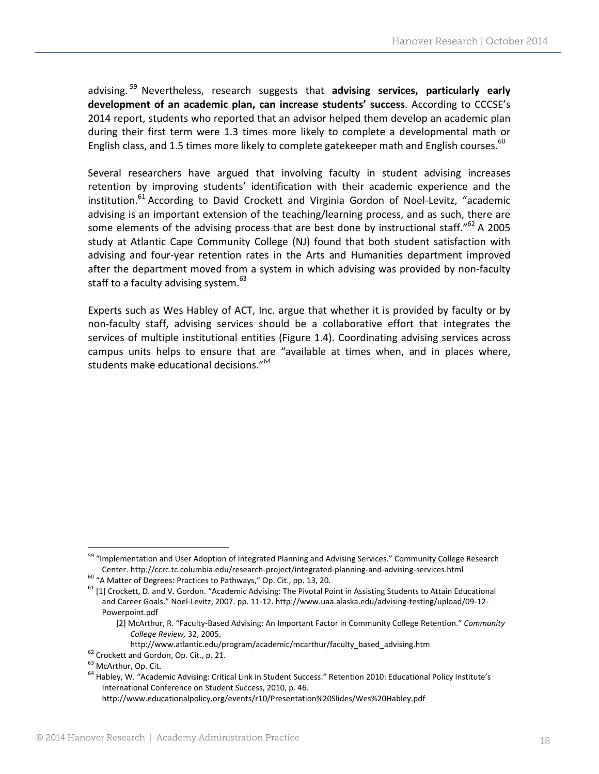advising. <sup>59</sup> Nevertheless, research suggests that **advising services, particularly early development of an academic plan, can increase students' success**. According to CCCSE's 2014 report, students who reported that an advisor helped them develop an academic plan during their first term were 1.3 times more likely to complete a developmental math or English class, and 1.5 times more likely to complete gatekeeper math and English courses.<sup>60</sup>

Several researchers have argued that involving faculty in student advising increases retention by improving students' identification with their academic experience and the institution.<sup>61</sup> According to David Crockett and Virginia Gordon of Noel-Levitz, "academic advising is an important extension of the teaching/learning process, and as such, there are some elements of the advising process that are best done by instructional staff." $62$  A 2005 study at Atlantic Cape Community College (NJ) found that both student satisfaction with advising and four‐year retention rates in the Arts and Humanities department improved after the department moved from a system in which advising was provided by non‐faculty staff to a faculty advising system. $^{63}$ 

Experts such as Wes Habley of ACT, Inc. argue that whether it is provided by faculty or by non‐faculty staff, advising services should be a collaborative effort that integrates the services of multiple institutional entities (Figure 1.4). Coordinating advising services across campus units helps to ensure that are "available at times when, and in places where, students make educational decisions."<sup>64</sup>

<sup>&</sup>lt;sup>59</sup> "Implementation and User Adoption of Integrated Planning and Advising Services." Community College Research Center. http://ccrc.tc.columbia.edu/research-project/integrated-planning-and-advising-services.html<br><sup>60</sup> "A Matter of Degrees: Practices to Pathways," Op. Cit., pp. 13, 20.<br><sup>61</sup> [1] Crockett, D. and V. Gordon. "Academic Ad

and Career Goals." Noel‐Levitz, 2007. pp. 11‐12. http://www.uaa.alaska.edu/advising‐testing/upload/09‐12‐ Powerpoint.pdf

<sup>[2]</sup> McArthur, R. "Faculty‐Based Advising: An Important Factor in Community College Retention." *Community College Review,* 32, 2005.

http://www.atlantic.edu/program/academic/mcarthur/faculty\_based\_advising.htm<br>
<sup>62</sup> Crockett and Gordon, Op. Cit., p. 21.<br>
<sup>63</sup> McArthur, Op. Cit.<br>
<sup>64</sup> Habley, W. "Academic Advising: Critical Link in Student Success." Rete International Conference on Student Success, 2010, p. 46.

http://www.educationalpolicy.org/events/r10/Presentation%20Slides/Wes%20Habley.pdf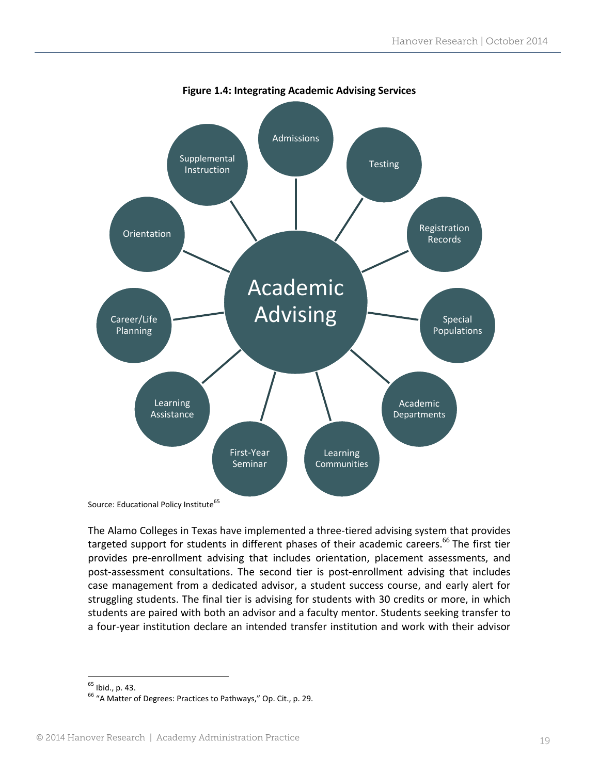

Source: Educational Policy Institute<sup>65</sup>

The Alamo Colleges in Texas have implemented a three-tiered advising system that provides targeted support for students in different phases of their academic careers.<sup>66</sup> The first tier provides pre‐enrollment advising that includes orientation, placement assessments, and post-assessment consultations. The second tier is post-enrollment advising that includes case management from a dedicated advisor, a student success course, and early alert for struggling students. The final tier is advising for students with 30 credits or more, in which students are paired with both an advisor and a faculty mentor. Students seeking transfer to a four‐year institution declare an intended transfer institution and work with their advisor

 $65$  Ibid., p. 43.<br> $66$  "A Matter of Degrees: Practices to Pathways," Op. Cit., p. 29.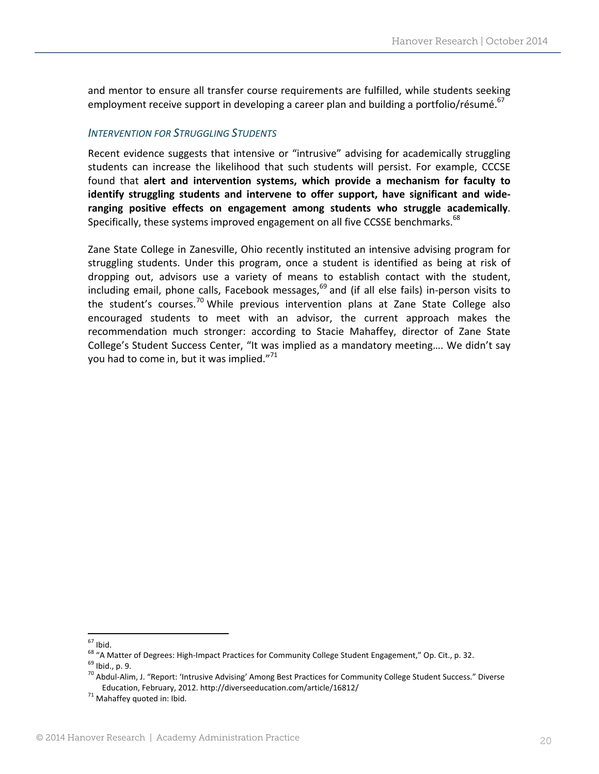and mentor to ensure all transfer course requirements are fulfilled, while students seeking employment receive support in developing a career plan and building a portfolio/résumé.<sup>67</sup>

#### *INTERVENTION FOR STRUGGLING STUDENTS*

Recent evidence suggests that intensive or "intrusive" advising for academically struggling students can increase the likelihood that such students will persist. For example, CCCSE found that **alert and intervention systems, which provide a mechanism for faculty to identify struggling students and intervene to offer support, have significant and wide‐ ranging positive effects on engagement among students who struggle academically**. Specifically, these systems improved engagement on all five CCSSE benchmarks.<sup>68</sup>

Zane State College in Zanesville, Ohio recently instituted an intensive advising program for struggling students. Under this program, once a student is identified as being at risk of dropping out, advisors use a variety of means to establish contact with the student, including email, phone calls, Facebook messages, $^{69}$  and (if all else fails) in-person visits to the student's courses.<sup>70</sup> While previous intervention plans at Zane State College also encouraged students to meet with an advisor, the current approach makes the recommendation much stronger: according to Stacie Mahaffey, director of Zane State College's Student Success Center, "It was implied as a mandatory meeting…. We didn't say you had to come in, but it was implied."<sup>71</sup>

<sup>&</sup>lt;sup>67</sup> Ibid.<br><sup>68</sup> "A Matter of Degrees: High-Impact Practices for Community College Student Engagement," Op. Cit., p. 32.<br><sup>69</sup> Ibid., p. 9.<br><sup>70</sup> Abdul-Alim, J. "Report: 'Intrusive Advising' Among Best Practices for Communit Education, February, 2012. http://diverseeducation.com/article/16812/ <sup>71</sup> Mahaffey quoted in: Ibid.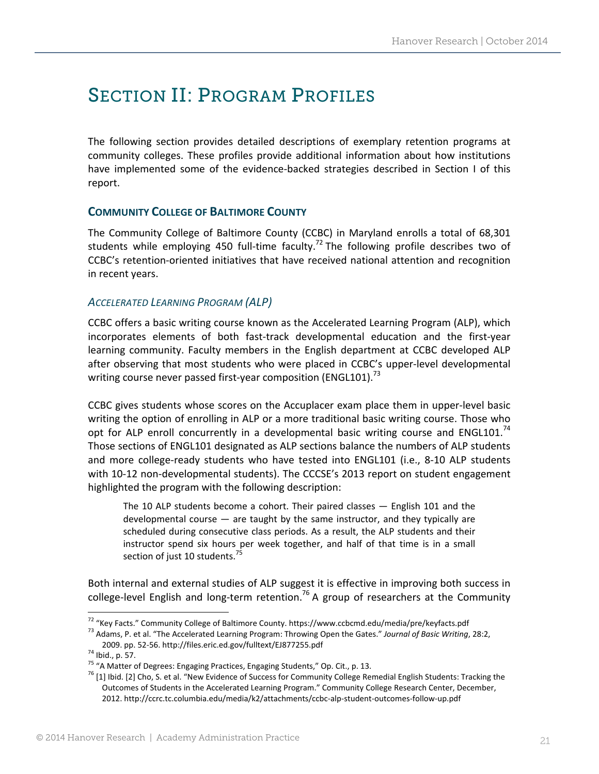# SECTION II: PROGRAM PROFILES

The following section provides detailed descriptions of exemplary retention programs at community colleges. These profiles provide additional information about how institutions have implemented some of the evidence-backed strategies described in Section I of this report.

# **COMMUNITY COLLEGE OF BALTIMORE COUNTY**

The Community College of Baltimore County (CCBC) in Maryland enrolls a total of 68,301 students while employing 450 full-time faculty.<sup>72</sup> The following profile describes two of CCBC's retention‐oriented initiatives that have received national attention and recognition in recent years.

### *ACCELERATED LEARNING PROGRAM (ALP)*

CCBC offers a basic writing course known as the Accelerated Learning Program (ALP), which incorporates elements of both fast-track developmental education and the first-year learning community. Faculty members in the English department at CCBC developed ALP after observing that most students who were placed in CCBC's upper‐level developmental writing course never passed first-year composition (ENGL101).<sup>73</sup>

CCBC gives students whose scores on the Accuplacer exam place them in upper‐level basic writing the option of enrolling in ALP or a more traditional basic writing course. Those who opt for ALP enroll concurrently in a developmental basic writing course and ENGL101.<sup>74</sup> Those sections of ENGL101 designated as ALP sections balance the numbers of ALP students and more college-ready students who have tested into ENGL101 (i.e., 8-10 ALP students with 10-12 non-developmental students). The CCCSE's 2013 report on student engagement highlighted the program with the following description:

The 10 ALP students become a cohort. Their paired classes — English 101 and the developmental course — are taught by the same instructor, and they typically are scheduled during consecutive class periods. As a result, the ALP students and their instructor spend six hours per week together, and half of that time is in a small section of just 10 students.<sup>75</sup>

Both internal and external studies of ALP suggest it is effective in improving both success in college-level English and long-term retention.<sup>76</sup> A group of researchers at the Community

<sup>&</sup>lt;sup>72</sup> "Key Facts." Community College of Baltimore County. https://www.ccbcmd.edu/media/pre/keyfacts.pdf<br><sup>73</sup> Adams, P. et al. "The Accelerated Learning Program: Throwing Open the Gates." Journal of Basic Writing, 28:2,

<sup>2009.</sup> pp. 52-56. http://files.eric.ed.gov/fulltext/EJ877255.pdf<br><sup>74</sup> Ibid., p. 57.<br><sup>75</sup> "A Matter of Degrees: Engaging Practices, Engaging Students," Op. Cit., p. 13.<br><sup>75</sup> [1] Ibid. [2] Cho, S. et al. "New Evidence of Suc Outcomes of Students in the Accelerated Learning Program." Community College Research Center, December, 2012. http://ccrc.tc.columbia.edu/media/k2/attachments/ccbc‐alp‐student‐outcomes‐follow‐up.pdf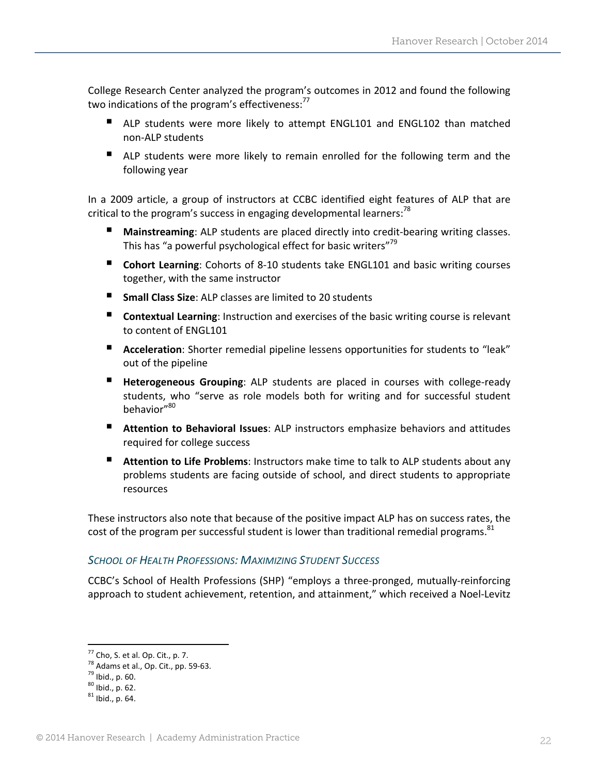College Research Center analyzed the program's outcomes in 2012 and found the following two indications of the program's effectiveness: $<sup>77</sup>$ </sup>

- ALP students were more likely to attempt ENGL101 and ENGL102 than matched non‐ALP students
- ALP students were more likely to remain enrolled for the following term and the following year

In a 2009 article, a group of instructors at CCBC identified eight features of ALP that are critical to the program's success in engaging developmental learners:<sup>78</sup>

- **Mainstreaming**: ALP students are placed directly into credit‐bearing writing classes. This has "a powerful psychological effect for basic writers"<sup>79</sup>
- **Cohort Learning**: Cohorts of 8-10 students take ENGL101 and basic writing courses together, with the same instructor
- **Small Class Size**: ALP classes are limited to 20 students
- **Contextual Learning:** Instruction and exercises of the basic writing course is relevant to content of ENGL101
- **Acceleration**: Shorter remedial pipeline lessens opportunities for students to "leak" out of the pipeline
- **Heterogeneous Grouping**: ALP students are placed in courses with college-ready students, who "serve as role models both for writing and for successful student behavior"80
- **Attention to Behavioral Issues**: ALP instructors emphasize behaviors and attitudes required for college success
- **Attention to Life Problems**: Instructors make time to talk to ALP students about any problems students are facing outside of school, and direct students to appropriate resources

These instructors also note that because of the positive impact ALP has on success rates, the cost of the program per successful student is lower than traditional remedial programs.<sup>81</sup>

# *SCHOOL OF HEALTH PROFESSIONS: MAXIMIZING STUDENT SUCCESS*

CCBC's School of Health Professions (SHP) "employs a three‐pronged, mutually‐reinforcing approach to student achievement, retention, and attainment," which received a Noel-Levitz

<sup>77</sup> Cho, S. et al. Op. Cit., p. 7.<br>
<sup>78</sup> Adams et al., Op. Cit., pp. 59-63.<br>
<sup>79</sup> Ibid., p. 60.<br>
<sup>80</sup> Ibid., p. 62.<br>
<sup>81</sup> Ibid., p. 64.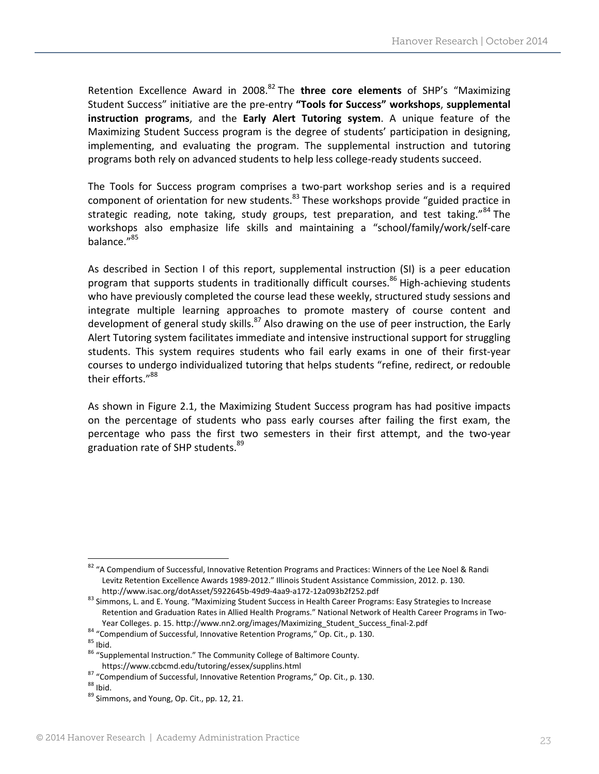Retention Excellence Award in 2008.<sup>82</sup> The **three core elements** of SHP's "Maximizing Student Success" initiative are the pre‐entry **"Tools for Success" workshops**, **supplemental instruction programs**, and the **Early Alert Tutoring system**. A unique feature of the Maximizing Student Success program is the degree of students' participation in designing, implementing, and evaluating the program. The supplemental instruction and tutoring programs both rely on advanced students to help less college‐ready students succeed.

The Tools for Success program comprises a two-part workshop series and is a required component of orientation for new students.<sup>83</sup> These workshops provide "guided practice in strategic reading, note taking, study groups, test preparation, and test taking."<sup>84</sup> The workshops also emphasize life skills and maintaining a "school/family/work/self‐care balance."<sup>85</sup>

As described in Section I of this report, supplemental instruction (SI) is a peer education program that supports students in traditionally difficult courses.<sup>86</sup> High-achieving students who have previously completed the course lead these weekly, structured study sessions and integrate multiple learning approaches to promote mastery of course content and development of general study skills.<sup>87</sup> Also drawing on the use of peer instruction, the Early Alert Tutoring system facilitates immediate and intensive instructional support for struggling students. This system requires students who fail early exams in one of their first‐year courses to undergo individualized tutoring that helps students "refine, redirect, or redouble their efforts."88

As shown in Figure 2.1, the Maximizing Student Success program has had positive impacts on the percentage of students who pass early courses after failing the first exam, the percentage who pass the first two semesters in their first attempt, and the two‐year graduation rate of SHP students.<sup>89</sup>

 82 "A Compendium of Successful, Innovative Retention Programs and Practices: Winners of the Lee Noel & Randi Levitz Retention Excellence Awards 1989‐2012." Illinois Student Assistance Commission, 2012. p. 130.

http://www.isac.org/dotAsset/5922645b-49d9-4aa9-a172-12a093b2f252.pdf<br><sup>83</sup> Simmons, L. and E. Young. "Maximizing Student Success in Health Career Programs: Easy Strategies to Increase Retention and Graduation Rates in Allied Health Programs." National Network of Health Career Programs in Two‐ Year Colleges. p. 15. http://www.nn2.org/images/Maximizing\_Student\_Success\_final-2.pdf<br><sup>84</sup> "Compendium of Successful, Innovative Retention Programs," Op. Cit., p. 130.<br><sup>85</sup> Ibid.<br><sup>86</sup> "Supplemental Instruction." The Commu

<sup>&</sup>lt;sup>87</sup> "Compendium of Successful, Innovative Retention Programs," Op. Cit., p. 130. <sup>88</sup> Ibid. 89 Simmons, and Young, Op. Cit., pp. 12, 21.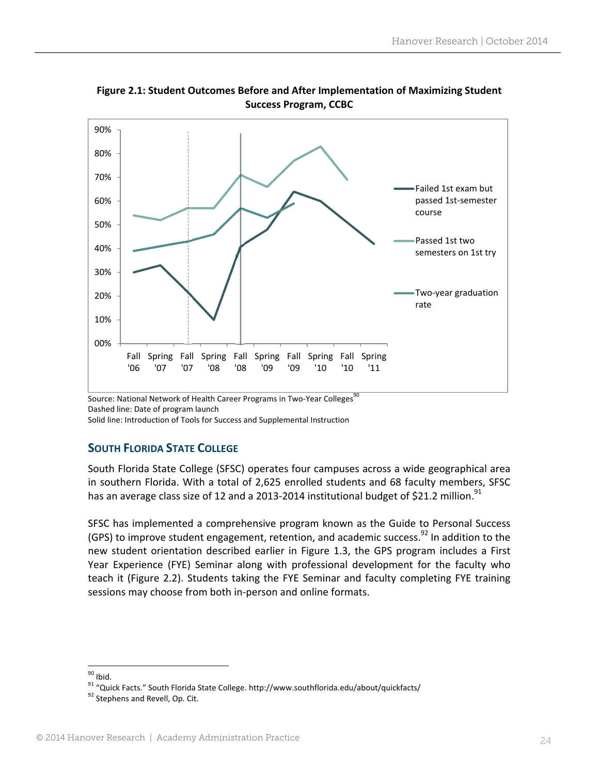

**Figure 2.1: Student Outcomes Before and After Implementation of Maximizing Student Success Program, CCBC** 

Source: National Network of Health Career Programs in Two-Year Colleges<sup>90</sup>

Dashed line: Date of program launch

Solid line: Introduction of Tools for Success and Supplemental Instruction

# **SOUTH FLORIDA STATE COLLEGE**

South Florida State College (SFSC) operates four campuses across a wide geographical area in southern Florida. With a total of 2,625 enrolled students and 68 faculty members, SFSC has an average class size of 12 and a 2013-2014 institutional budget of \$21.2 million.<sup>91</sup>

SFSC has implemented a comprehensive program known as the Guide to Personal Success (GPS) to improve student engagement, retention, and academic success.<sup>92</sup> In addition to the new student orientation described earlier in Figure 1.3, the GPS program includes a First Year Experience (FYE) Seminar along with professional development for the faculty who teach it (Figure 2.2). Students taking the FYE Seminar and faculty completing FYE training sessions may choose from both in‐person and online formats.

<sup>&</sup>lt;sup>90</sup> Ibid.<br><sup>91</sup> "Quick Facts." South Florida State College. http://www.southflorida.edu/about/quickfacts/<br><sup>92</sup> Stephens and Revell, Op. Cit.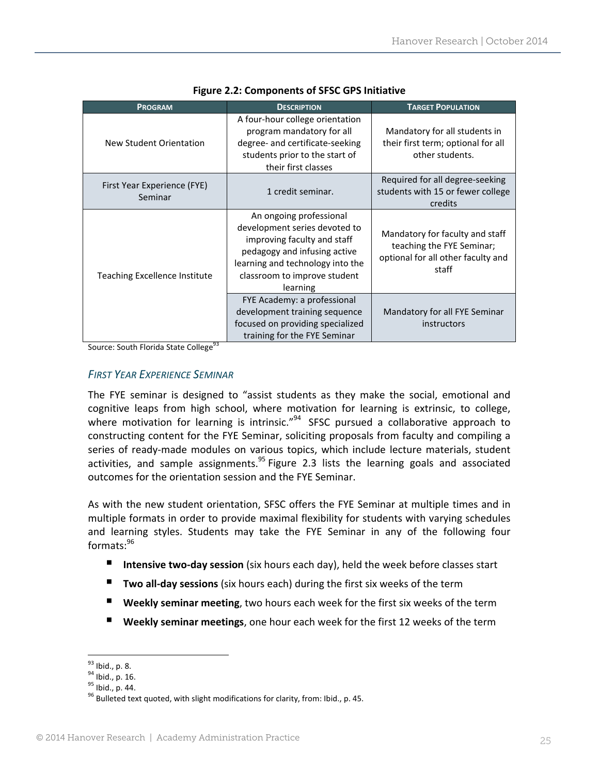| <b>PROGRAM</b>                         | <b>DESCRIPTION</b>                                                                                                                                                                                      | <b>TARGET POPULATION</b>                                                                                    |  |  |  |  |
|----------------------------------------|---------------------------------------------------------------------------------------------------------------------------------------------------------------------------------------------------------|-------------------------------------------------------------------------------------------------------------|--|--|--|--|
| New Student Orientation                | A four-hour college orientation<br>program mandatory for all<br>degree- and certificate-seeking<br>students prior to the start of<br>their first classes                                                | Mandatory for all students in<br>their first term; optional for all<br>other students.                      |  |  |  |  |
| First Year Experience (FYE)<br>Seminar | 1 credit seminar.                                                                                                                                                                                       | Required for all degree-seeking<br>students with 15 or fewer college<br>credits                             |  |  |  |  |
| Teaching Excellence Institute          | An ongoing professional<br>development series devoted to<br>improving faculty and staff<br>pedagogy and infusing active<br>learning and technology into the<br>classroom to improve student<br>learning | Mandatory for faculty and staff<br>teaching the FYE Seminar;<br>optional for all other faculty and<br>staff |  |  |  |  |
|                                        | FYE Academy: a professional<br>development training sequence<br>focused on providing specialized<br>training for the FYE Seminar                                                                        | Mandatory for all FYE Seminar<br>instructors                                                                |  |  |  |  |

#### **Figure 2.2: Components of SFSC GPS Initiative**

Source: South Florida State College<sup>93</sup>

#### *FIRST YEAR EXPERIENCE SEMINAR*

The FYE seminar is designed to "assist students as they make the social, emotional and cognitive leaps from high school, where motivation for learning is extrinsic, to college, where motivation for learning is intrinsic." $94$  SFSC pursued a collaborative approach to constructing content for the FYE Seminar, soliciting proposals from faculty and compiling a series of ready-made modules on various topics, which include lecture materials, student activities, and sample assignments.<sup>95</sup> Figure 2.3 lists the learning goals and associated outcomes for the orientation session and the FYE Seminar.

As with the new student orientation, SFSC offers the FYE Seminar at multiple times and in multiple formats in order to provide maximal flexibility for students with varying schedules and learning styles. Students may take the FYE Seminar in any of the following four  $formats: <sup>96</sup>$ 

- Intensive two-day session (six hours each day), held the week before classes start
- **Two all‐day sessions** (six hours each) during the first six weeks of the term
- **Weekly seminar meeting**, two hours each week for the first six weeks of the term
- **Weekly seminar meetings**, one hour each week for the first 12 weeks of the term

<sup>&</sup>lt;sup>93</sup> Ibid., p. 8.<br><sup>94</sup> Ibid., p. 16.<br><sup>95</sup> Ibid., p. 44.<br><sup>96</sup> Bulleted text quoted, with slight modifications for clarity, from: Ibid., p. 45.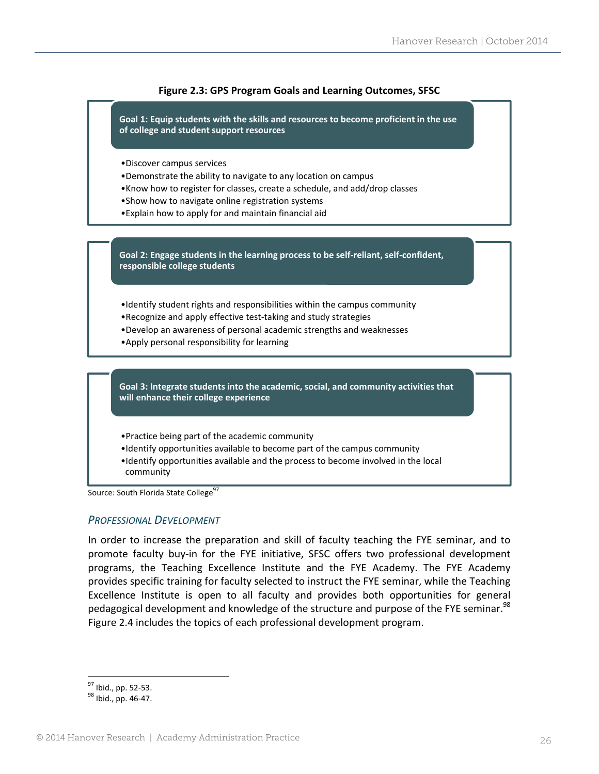

Source: South Florida State College<sup>97</sup>

#### *PROFESSIONAL DEVELOPMENT*

In order to increase the preparation and skill of faculty teaching the FYE seminar, and to promote faculty buy‐in for the FYE initiative, SFSC offers two professional development programs, the Teaching Excellence Institute and the FYE Academy. The FYE Academy provides specific training for faculty selected to instruct the FYE seminar, while the Teaching Excellence Institute is open to all faculty and provides both opportunities for general pedagogical development and knowledge of the structure and purpose of the FYE seminar.<sup>98</sup> Figure 2.4 includes the topics of each professional development program.

 $\frac{97}{98}$  Ibid., pp. 52-53.<br><sup>98</sup> Ibid., pp. 46-47.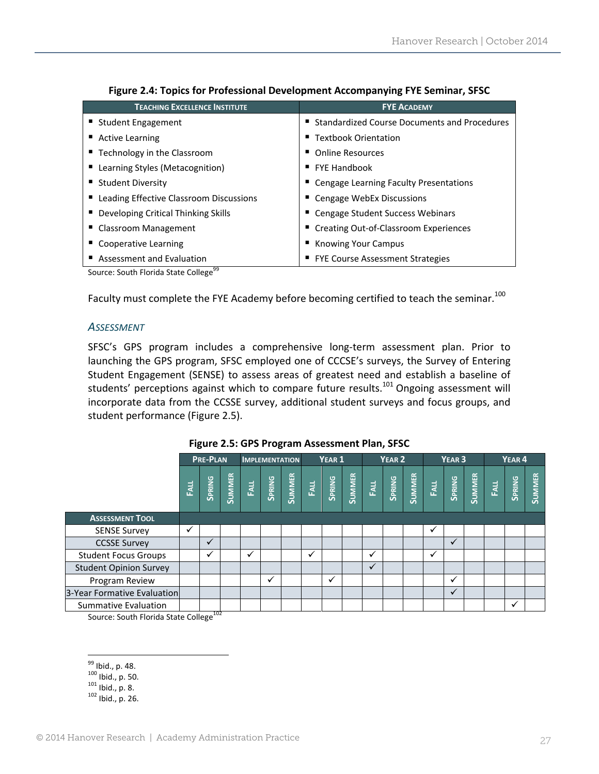| <b>TEACHING EXCELLENCE INSTITUTE</b>      | <b>FYE ACADEMY</b>                             |
|-------------------------------------------|------------------------------------------------|
| ■ Student Engagement                      | ■ Standardized Course Documents and Procedures |
| ■ Active Learning                         | ■ Textbook Orientation                         |
| ■ Technology in the Classroom             | • Online Resources                             |
| ■ Learning Styles (Metacognition)         | $\blacksquare$ FYE Handbook                    |
| ■ Student Diversity                       | ■ Cengage Learning Faculty Presentations       |
| ■ Leading Effective Classroom Discussions | ■ Cengage WebEx Discussions                    |
| ■ Developing Critical Thinking Skills     | ■ Cengage Student Success Webinars             |
| ■ Classroom Management                    | ■ Creating Out-of-Classroom Experiences        |
| ■ Cooperative Learning                    | ■ Knowing Your Campus                          |
| Assessment and Evaluation                 | ■ FYE Course Assessment Strategies             |

|  |  | Figure 2.4: Topics for Professional Development Accompanying FYE Seminar, SFSC |
|--|--|--------------------------------------------------------------------------------|
|  |  |                                                                                |

Source: South Florida State College<sup>99</sup>

Faculty must complete the FYE Academy before becoming certified to teach the seminar.<sup>100</sup>

#### *ASSESSMENT*

SFSC's GPS program includes a comprehensive long‐term assessment plan. Prior to launching the GPS program, SFSC employed one of CCCSE's surveys, the Survey of Entering Student Engagement (SENSE) to assess areas of greatest need and establish a baseline of students' perceptions against which to compare future results.<sup>101</sup> Ongoing assessment will incorporate data from the CCSSE survey, additional student surveys and focus groups, and student performance (Figure 2.5).

|                               | <b>PRE-PLAN</b> |               | <b>IMPLEMENTATION</b> |     | YEAR <sub>1</sub> |                          | YEAR <sub>2</sub> |              | YEAR <sub>3</sub> |               |                          | YEAR <sub>4</sub> |              |              |               |      |               |               |
|-------------------------------|-----------------|---------------|-----------------------|-----|-------------------|--------------------------|-------------------|--------------|-------------------|---------------|--------------------------|-------------------|--------------|--------------|---------------|------|---------------|---------------|
|                               | EALL            | <b>SPRING</b> | <b>SUMMER</b>         | FAL | SPRING            | SUMMER<br>FALL<br>SPRING |                   |              | <b>SUMMER</b>     | <b>RATION</b> | SPRING<br>SUMMER<br>FALL |                   |              | SPRING       | <b>SUMMER</b> | Fall | <b>SPRING</b> | <b>SUMMER</b> |
| <b>ASSESSMENT TOOL</b>        |                 |               |                       |     |                   |                          |                   |              |                   |               |                          |                   |              |              |               |      |               |               |
| <b>SENSE Survey</b>           | v               |               |                       |     |                   |                          |                   |              |                   |               |                          |                   | $\checkmark$ |              |               |      |               |               |
| <b>CCSSE Survey</b>           |                 | $\checkmark$  |                       |     |                   |                          |                   |              |                   |               |                          |                   |              | $\checkmark$ |               |      |               |               |
| <b>Student Focus Groups</b>   |                 | ✓             |                       | ✓   |                   |                          | ✓                 |              |                   | ✓             |                          |                   | ✓            |              |               |      |               |               |
| <b>Student Opinion Survey</b> |                 |               |                       |     |                   |                          |                   |              |                   | $\checkmark$  |                          |                   |              |              |               |      |               |               |
| Program Review                |                 |               |                       |     | ✓                 |                          |                   | $\checkmark$ |                   |               |                          |                   |              | ✓            |               |      |               |               |
| 3-Year Formative Evaluation   |                 |               |                       |     |                   |                          |                   |              |                   |               |                          |                   |              | ✓            |               |      |               |               |
| <b>Summative Evaluation</b>   |                 | 102           |                       |     |                   |                          |                   |              |                   |               |                          |                   |              |              |               |      | ✓             |               |

**Figure 2.5: GPS Program Assessment Plan, SFSC**

Source: South Florida State College<sup>102</sup>

<sup>&</sup>lt;sup>99</sup> Ibid., p. 48.<br><sup>100</sup> Ibid., p. 50.<br><sup>101</sup> Ibid., p. 8.<br><sup>102</sup> Ibid., p. 26.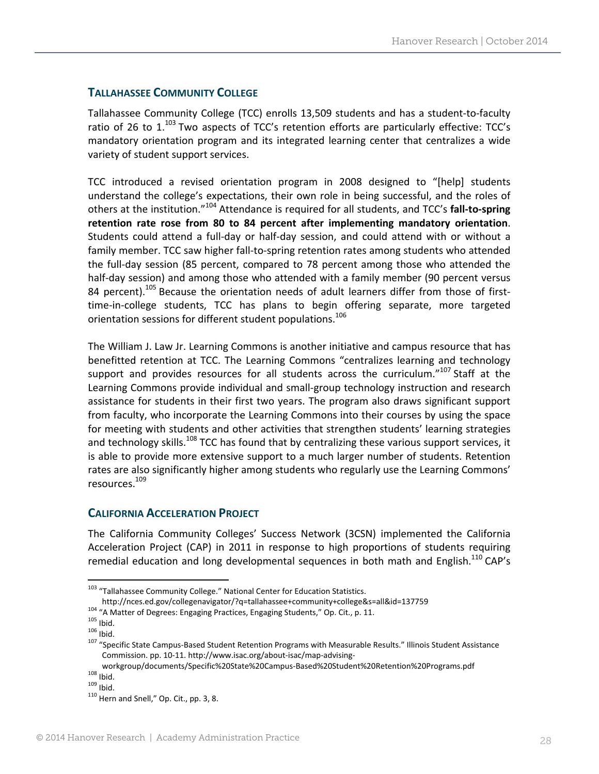# **TALLAHASSEE COMMUNITY COLLEGE**

Tallahassee Community College (TCC) enrolls 13,509 students and has a student‐to‐faculty ratio of 26 to  $1^{103}$  Two aspects of TCC's retention efforts are particularly effective: TCC's mandatory orientation program and its integrated learning center that centralizes a wide variety of student support services.

TCC introduced a revised orientation program in 2008 designed to "[help] students understand the college's expectations, their own role in being successful, and the roles of others at the institution."<sup>104</sup> Attendance is required for all students, and TCC's **fall‐to‐spring retention rate rose from 80 to 84 percent after implementing mandatory orientation**. Students could attend a full‐day or half‐day session, and could attend with or without a family member. TCC saw higher fall-to-spring retention rates among students who attended the full‐day session (85 percent, compared to 78 percent among those who attended the half-day session) and among those who attended with a family member (90 percent versus 84 percent).<sup>105</sup> Because the orientation needs of adult learners differ from those of firsttime‐in‐college students, TCC has plans to begin offering separate, more targeted orientation sessions for different student populations.<sup>106</sup>

The William J. Law Jr. Learning Commons is another initiative and campus resource that has benefitted retention at TCC. The Learning Commons "centralizes learning and technology support and provides resources for all students across the curriculum."<sup>107</sup> Staff at the Learning Commons provide individual and small‐group technology instruction and research assistance for students in their first two years. The program also draws significant support from faculty, who incorporate the Learning Commons into their courses by using the space for meeting with students and other activities that strengthen students' learning strategies and technology skills.<sup>108</sup> TCC has found that by centralizing these various support services, it is able to provide more extensive support to a much larger number of students. Retention rates are also significantly higher among students who regularly use the Learning Commons' resources.109

#### **CALIFORNIA ACCELERATION PROJECT**

The California Community Colleges' Success Network (3CSN) implemented the California Acceleration Project (CAP) in 2011 in response to high proportions of students requiring remedial education and long developmental sequences in both math and English.<sup>110</sup> CAP's

<sup>&</sup>lt;sup>103</sup> "Tallahassee Community College." National Center for Education Statistics.<br>http://nces.ed.gov/collegenavigator/?q=tallahassee+community+college&s=all&id=137759

<sup>&</sup>lt;sup>104</sup> "A Matter of Degrees: Engaging Practices, Engaging Students," Op. Cit., p. 11.<br><sup>105</sup> Ibid.<br><sup>106</sup> Ibid.<br><sup>106</sup> Ibid.<br><sup>107</sup> "Specific State Campus-Based Student Retention Programs with Measurable Results." Illinois Stud Commission. pp. 10‐11. http://www.isac.org/about‐isac/map‐advising‐

workgroup/documents/Specific%20State%20Campus-Based%20Student%20Retention%20Programs.pdf<br>
<sup>108</sup> Ibid.<br>
<sup>109</sup> Ibid.<br>
<sup>110</sup> Hern and Snell," Op. Cit., pp. 3, 8.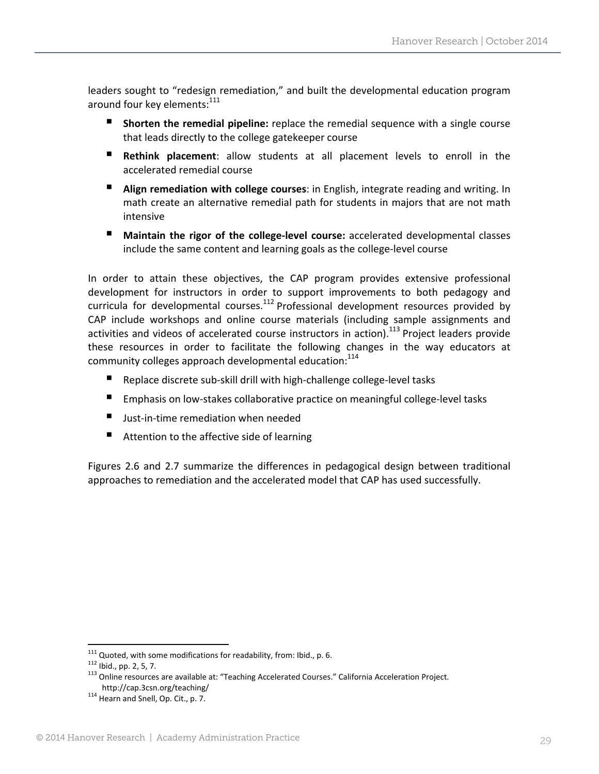leaders sought to "redesign remediation," and built the developmental education program around four key elements:<sup>111</sup>

- **Shorten the remedial pipeline:** replace the remedial sequence with a single course that leads directly to the college gatekeeper course
- **Rethink placement**: allow students at all placement levels to enroll in the accelerated remedial course
- **Align remediation with college courses**: in English, integrate reading and writing. In math create an alternative remedial path for students in majors that are not math intensive
- Maintain the rigor of the college-level course: accelerated developmental classes include the same content and learning goals as the college‐level course

In order to attain these objectives, the CAP program provides extensive professional development for instructors in order to support improvements to both pedagogy and curricula for developmental courses.<sup>112</sup> Professional development resources provided by CAP include workshops and online course materials (including sample assignments and activities and videos of accelerated course instructors in action).<sup>113</sup> Project leaders provide these resources in order to facilitate the following changes in the way educators at community colleges approach developmental education: $114$ 

- Replace discrete sub-skill drill with high-challenge college-level tasks
- Emphasis on low‐stakes collaborative practice on meaningful college‐level tasks
- Just-in-time remediation when needed
- Attention to the affective side of learning

Figures 2.6 and 2.7 summarize the differences in pedagogical design between traditional approaches to remediation and the accelerated model that CAP has used successfully.

<sup>&</sup>lt;sup>111</sup> Quoted, with some modifications for readability, from: Ibid., p. 6.

<sup>&</sup>lt;sup>112</sup> Ibid., pp. 2, 5, 7.<br>
<sup>113</sup> Online resources are available at: "Teaching Accelerated Courses." California Acceleration Project.<br>
http://cap.3csn.org/teaching/

 $114$  Hearn and Snell, Op. Cit., p. 7.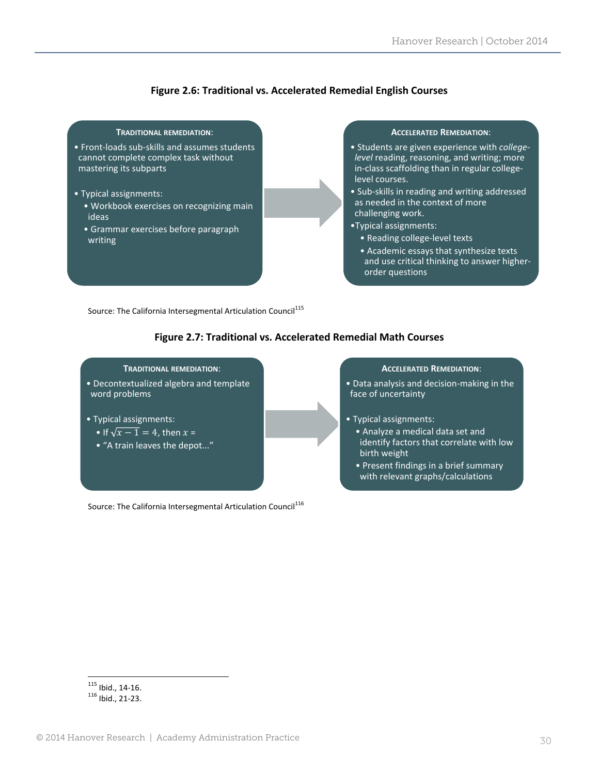#### **Figure 2.6: Traditional vs. Accelerated Remedial English Courses**



Source: The California Intersegmental Articulation Council<sup>115</sup>

#### **Figure 2.7: Traditional vs. Accelerated Remedial Math Courses**



Source: The California Intersegmental Articulation Council<sup>116</sup>

  $\frac{115}{116}$  Ibid., 14-16.<br> $\frac{116}{16}$  Ibid., 21-23.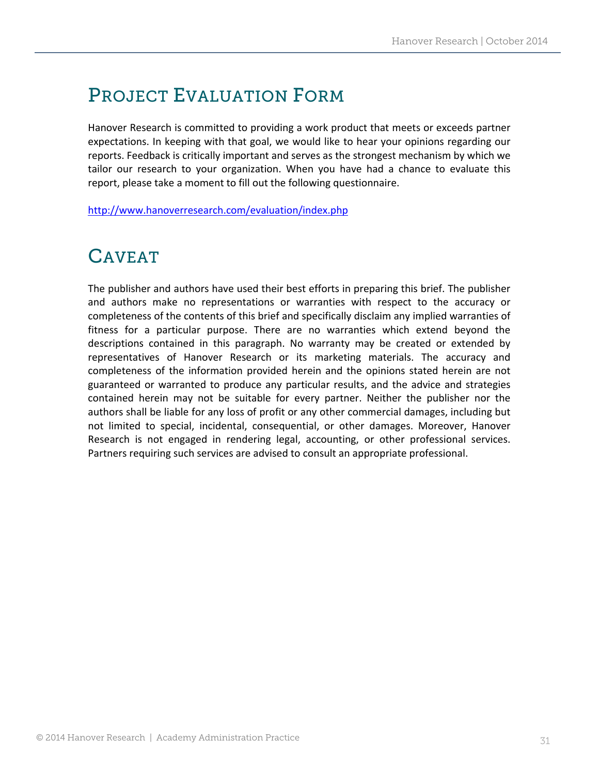# PROJECT EVALUATION FORM

Hanover Research is committed to providing a work product that meets or exceeds partner expectations. In keeping with that goal, we would like to hear your opinions regarding our reports. Feedback is critically important and serves as the strongest mechanism by which we tailor our research to your organization. When you have had a chance to evaluate this report, please take a moment to fill out the following questionnaire.

http://www.hanoverresearch.com/evaluation/index.php

# CAVEAT

The publisher and authors have used their best efforts in preparing this brief. The publisher and authors make no representations or warranties with respect to the accuracy or completeness of the contents of this brief and specifically disclaim any implied warranties of fitness for a particular purpose. There are no warranties which extend beyond the descriptions contained in this paragraph. No warranty may be created or extended by representatives of Hanover Research or its marketing materials. The accuracy and completeness of the information provided herein and the opinions stated herein are not guaranteed or warranted to produce any particular results, and the advice and strategies contained herein may not be suitable for every partner. Neither the publisher nor the authors shall be liable for any loss of profit or any other commercial damages, including but not limited to special, incidental, consequential, or other damages. Moreover, Hanover Research is not engaged in rendering legal, accounting, or other professional services. Partners requiring such services are advised to consult an appropriate professional.